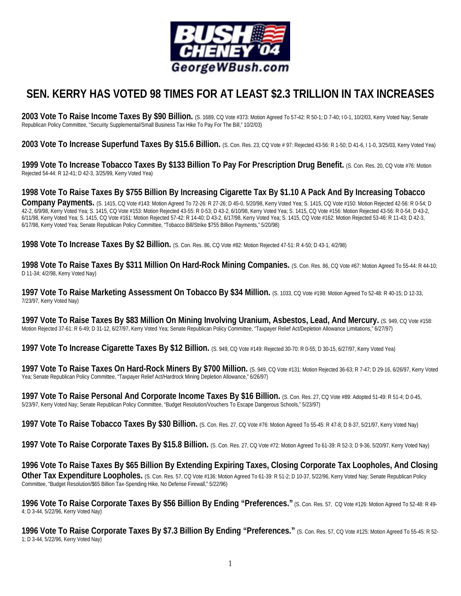

## **SEN. KERRY HAS VOTED 98 TIMES FOR AT LEAST \$2.3 TRILLION IN TAX INCREASES**

2003 Vote To Raise Income Taxes By \$90 Billion. (S. 1689, CQ Vote #373: Motion Agreed To 57-42: R 50-1; D 7-40; I 0-1, 10/2/03, Kerry Voted Nay; Senate Republican Policy Committee, "Security Supplemental/Small Business Tax Hike To Pay For The Bill," 10/2/03)

**2003 Vote To Increase Superfund Taxes By \$15.6 Billion.** (S. Con. Res. 23, CQ Vote # 97: Rejected 43-56: R 1-50; D 41-6, I 1-0, 3/25/03, Kerry Voted Yea)

**1999 Vote To Increase Tobacco Taxes By \$133 Billion To Pay For Prescription Drug Benefit.** (S. Con. Res. 20, CQ Vote #76: Motion Rejected 54-44: R 12-41; D 42-3, 3/25/99, Kerry Voted Yea)

## **1998 Vote To Raise Taxes By \$755 Billion By Increasing Cigarette Tax By \$1.10 A Pack And By Increasing Tobacco**

**Company Payments.** (S. 1415, CQ Vote #143: Motion Agreed To 72-26: R 27-26; D 45-0, 5/20/98, Kerry Voted Yea; S. 1415, CQ Vote #150: Motion Rejected 42-56: R 0-54; D 42-2, 6/9/98, Kerry Voted Yea; S. 1415, CQ Vote #153: Motion Rejected 43-55: R 0-53; D 43-2, 6/10/98, Kerry Voted Yea; S. 1415, CQ Vote #156: Motion Rejected 43-56: R 0-54; D 43-2, 6/11/98, Kerry Voted Yea; S. 1415, CQ Vote #161: Motion Rejected 57-42: R 14-40; D 43-2, 6/17/98, Kerry Voted Yea; S. 1415, CQ Vote #162: Motion Rejected 53-46: R 11-43; D 42-3, 6/17/98, Kerry Voted Yea; Senate Republican Policy Committee, "Tobacco Bill/Strike \$755 Billion Payments," 5/20/98)

**1998 Vote To Increase Taxes By \$2 Billion.** (S. Con. Res. 86, CQ Vote #82: Motion Rejected 47-51: R 4-50; D 43-1, 4/2/98)

**1998 Vote To Raise Taxes By \$311 Million On Hard-Rock Mining Companies.** (S. Con. Res. 86, CQ Vote #67: Motion Agreed To 55-44: R 44-10; D 11-34; 4/2/98, Kerry Voted Nay)

**1997 Vote To Raise Marketing Assessment On Tobacco By \$34 Million.** (S. 1033, CQ Vote #198: Motion Agreed To 52-48: R 40-15; D 12-33, 7/23/97, Kerry Voted Nay)

**1997 Vote To Raise Taxes By \$83 Million On Mining Involving Uranium, Asbestos, Lead, And Mercury.** (S. 949, CQ Vote #158: Motion Rejected 37-61: R 6-49; D 31-12, 6/27/97, Kerry Voted Yea; Senate Republican Policy Committee, "Taxpayer Relief Act/Depletion Allowance Limitations," 6/27/97)

**1997 Vote To Increase Cigarette Taxes By \$12 Billion.** (S. 949, CQ Vote #149: Rejected 30-70: R 0-55; D 30-15, 6/27/97, Kerry Voted Yea)

**1997 Vote To Raise Taxes On Hard-Rock Miners By \$700 Million.** (S. 949, CQ Vote #131: Motion Rejected 36-63; R 7-47; D 29-16, 6/26/97, Kerry Voted Yea; Senate Republican Policy Committee, "Taxpayer Relief Act/Hardrock Mining Depletion Allowance," 6/26/97)

**1997 Vote To Raise Personal And Corporate Income Taxes By \$16 Billion.** (S. Con. Res. 27, CQ Vote #89: Adopted 51-49: R 51-4; D 0-45, 5/23/97, Kerry Voted Nay; Senate Republican Policy Committee, "Budget Resolution/Vouchers To Escape Dangerous Schools," 5/23/97)

**1997 Vote To Raise Tobacco Taxes By \$30 Billion.** (S. Con. Res. 27, CQ Vote #76: Motion Agreed To 55-45: R 47-8; D 8-37, 5/21/97, Kerry Voted Nay)

**1997 Vote To Raise Corporate Taxes By \$15.8 Billion.** (S. Con. Res. 27, CQ Vote #72: Motion Agreed To 61-39: R 52-3; D 9-36, 5/20/97, Kerry Voted Nay)

**1996 Vote To Raise Taxes By \$65 Billion By Extending Expiring Taxes, Closing Corporate Tax Loopholes, And Closing**  Other Tax Expenditure Loopholes. (S. Con. Res. 57, CQ Vote #136: Motion Agreed To 61-39: R 51-2; D 10-37, 5/22/96, Kerry Voted Nay; Senate Republican Policy Committee, "Budget Resolution/\$65 Billion Tax-Spending Hike, No Defense Firewall," 5/22/96)

**1996 Vote To Raise Corporate Taxes By \$56 Billion By Ending "Preferences."** (S. Con. Res. 57, CQ Vote #126: Motion Agreed To 52-48: R 49- 4; D 3-44, 5/22/96, Kerry Voted Nay)

**1996 Vote To Raise Corporate Taxes By \$7.3 Billion By Ending "Preferences."** (S. Con. Res. 57, CQ Vote #125: Motion Agreed To 55-45: R 52- 1; D 3-44, 5/22/96, Kerry Voted Nay)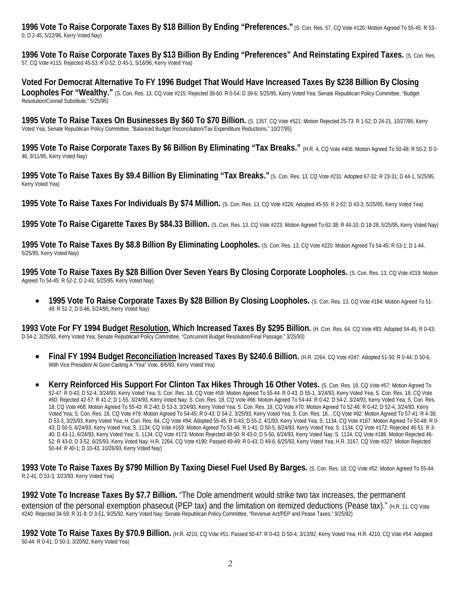**1996 Vote To Raise Corporate Taxes By \$18 Billion By Ending "Preferences."** (S. Con. Res. 57, CQ Vote #120: Motion Agreed To 55-45: R 53- 0; D 2-45, 5/22/96, Kerry Voted Nay)

**1996 Vote To Raise Corporate Taxes By \$13 Billion By Ending "Preferences" And Reinstating Expired Taxes.** (S. Con. Res. 57, CQ Vote #115: Rejected 45-53: R 0-52; D 45-1, 5/16/96, Kerry Voted Yea)

**Voted For Democrat Alternative To FY 1996 Budget That Would Have Increased Taxes By \$238 Billion By Closing**  Loopholes For "Wealthy." (S. Con. Res. 13, CQ Vote #215: Rejected 39-60: R 0-54; D 39-6, 5/25/95, Kerry Voted Yea; Senate Republican Policy Committee, "Budget" Resolution/Conrad Substitute," 5/25/95)

**1995 Vote To Raise Taxes On Businesses By \$60 To \$70 Billion.** (S. 1357, CQ Vote #521: Motion Rejected 25-73: R 1-52; D 24-21, 10/27/95, Kerry Voted Yea; Senate Republican Policy Committee, "Balanced Budget Reconciliation/Tax Expenditure Reductions," 10/27/95)

**1995 Vote To Raise Corporate Taxes By \$6 Billion By Eliminating "Tax Breaks." (H.R. 4, CQ Vote #406: Motion Agreed To 50-48: R 50-2; D 0-<br>
<b>1995 Vote To Raise Corporate Taxes By \$6 Billion By Eliminating "Tax Breaks."** (H 46, 9/11/95, Kerry Voted Nay)

**1995 Vote To Raise Taxes By \$9.4 Billion By Eliminating "Tax Breaks."** (S. Con. Res. 13, CQ Vote #231: Adopted 67-32: R 23-31; D 44-1, 5/25/95, Kerry Voted Yea)

**1995 Vote To Raise Taxes For Individuals By \$74 Million.** (S. Con. Res. 13, CQ Vote #226: Adopted 45-55: R 2-52; D 43-3, 5/25/95, Kerry Voted Yea)

**1995 Vote To Raise Cigarette Taxes By \$84.33 Billion.** (S. Con. Res. 13, CQ Vote #223: Motion Agreed To 62-38: R 44-10; D 18-28, 5/25/95, Kerry Voted Nay)

**1995 Vote To Raise Taxes By \$8.8 Billion By Eliminating Loopholes.** (S. Con. Res. 13, CQ Vote #220: Motion Agreed To 54-45: R 53-1; D 1-44, 5/25/95, Kerry Voted Nay)

**1995 Vote To Raise Taxes By \$28 Billion Over Seven Years By Closing Corporate Loopholes.** (S. Con. Res. 13, CQ Vote #219: Motion Agreed To 54-45: R 52-2; D 2-43, 5/25/95, Kerry Voted Nay)

• **1995 Vote To Raise Corporate Taxes By \$28 Billion By Closing Loopholes.** (S. Con. Res. 13, CQ Vote #184: Motion Agreed To 51- 48: R 51-2; D 0-46, 5/24/95, Kerry Voted Nay)

**1993 Vote For FY 1994 Budget Resolution, Which Increased Taxes By \$295 Billion.** (H. Con. Res. 64, CQ Vote #83: Adopted 54-45; R 0-43; D 54-2, 3/25/93, Kerry Voted Yea; Senate Republican Policy Committee, "Concurrent Budget Resolution/Final Passage," 3/25/93)

- Final FY 1994 Budget Reconciliation Increased Taxes By \$240.6 Billion. (H.R. 2264, CQ Vote #247: Adopted 51-50: R 0-44; D 50-6, With Vice President Al Gore Casting A "Yea" Vote, 8/6/93, Kerry Voted Yea)
- **Kerry Reinforced His Support For Clinton Tax Hikes Through 16 Other Votes.** (S. Con. Res. 18, CQ Vote #57: Motion Agreed To 52-47: R 0-43; D 52-4, 3/24/93, Kerry Voted Yea; S. Con. Res. 18, CQ Vote #59: Motion Agreed To 55-44: R 0-43; D 55-1, 3/24/93, Kerry Voted Yea; S. Con. Res. 18, CQ Vote #60: Rejected 42-57: R 41-2; D 1-55, 3/24/93, Kerry Voted Nay; S. Con. Res. 18, CQ Vote #66: Motion Agreed To 54-44: R 0-42; D 54-2, 3/24/93, Kerry Voted Yea; S. Con. Res. 18, CQ Vote #68: Motion Agreed To 55-43: R 2-40; D 53-3, 3/24/93, Kerry Voted Yea; S. Con. Res. 18, CQ Vote #70: Motion Agreed To 52-46: R 0-42; D 52-4, 3/24/93, Kerry Voted Yea; S. Con. Res. 18, CQ Vote #79: Motion Agreed To 54-45: R 0-43; D 54-2, 3/25/93, Kerry Voted Yea; S. Con. Res. 18, , CQ Vote #82: Motion Agreed To 57-41: R 4-38; D 53-3, 3/25/93, Kerry Voted Yea; H. Con. Res. 64, CQ Vote #94: Adopted 55-45: R 0-43; D 55-2, 4/1/93, Kerry Voted Yea; S. 1134, CQ Vote #167: Motion Agreed To 50-48: R 0- 43; D 50-5, 6/24/93, Kerry Voted Yea; S. 1134, CQ Vote #169: Motion Agreed To 51-46: R 1-41; D 50-5, 6/24/93, Kerry Voted Yea; S. 1134, CQ Vote #172: Rejected 46-51: R 3- 40; D 43-11, 6/24/93, Kerry Voted Yea; S. 1134, CQ Vote #173: Motion Rejected 48-50: R 43-0; D 5-50, 6/24/93, Kerry Voted Nay; S. 1134, CQ Vote #186: Motion Rejected 46- 52: R 43-0; D 3-52, 6/25/93, Kerry Voted Nay; H.R. 2264, CQ Vote #190: Passed 49-49: R 0-43; D 49-6, 6/25/93, Kerry Voted Yea; H.R. 3167, CQ Vote #327: Motion Rejected 50-44: R 40-1; D 10-43, 10/26/93, Kerry Voted Nay)

**1993 Vote To Raise Taxes By \$790 Million By Taxing Diesel Fuel Used By Barges.** (S. Con. Res. 18, CQ Vote #52: Motion Agreed To 55-44: R 2-41; D 53-3, 3/23/93, Kerry Voted Yea)

**1992 Vote To Increase Taxes By \$7.7 Billion.** "The Dole amendment would strike two tax increases, the permanent extension of the personal exemption phaseout (PEP tax) and the limitation on itemized deductions (Pease tax)."  $(H.R. 11, CO$  Vote #240: Rejected 34-59: R 31-8; D 3-51, 9/25/92, Kerry Voted Nay; Senate Republican Policy Committee, "Revenue Act/PEP and Pease Taxes," 9/25/92)

**1992 Vote To Raise Taxes By \$70.9 Billion.** (H.R. 4210, CQ Vote #51: Passed 50-47: R 0-43; D 50-4, 3/13/92, Kerry Voted Yea; H.R. 4210, CQ Vote #54: Adopted 50-44: R 0-41; D 50-3, 3/20/92, Kerry Voted Yea)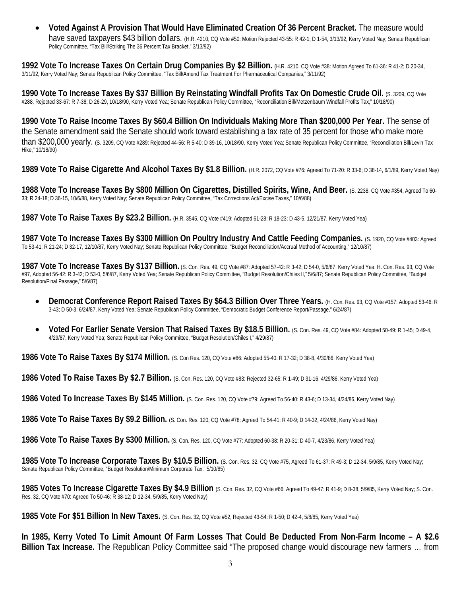• **Voted Against A Provision That Would Have Eliminated Creation Of 36 Percent Bracket.** The measure would have saved taxpayers \$43 billion dollars. (H.R. 4210, CQ Vote #50: Motion Rejected 43-55: R 42-1; D 1-54, 3/13/92, Kerry Voted Nay; Senate Republican Policy Committee, "Tax Bill/Striking The 36 Percent Tax Bracket," 3/13/92)

**1992 Vote To Increase Taxes On Certain Drug Companies By \$2 Billion.** (H.R. 4210, CQ Vote #38: Motion Agreed To 61-36: R 41-2; D 20-34, 3/11/92, Kerry Voted Nay; Senate Republican Policy Committee, "Tax Bill/Amend Tax Treatment For Pharmaceutical Companies," 3/11/92)

**1990 Vote To Increase Taxes By \$37 Billion By Reinstating Windfall Profits Tax On Domestic Crude Oil.** (S. 3209, CQ Vote #288, Rejected 33-67: R 7-38; D 26-29, 10/18/90, Kerry Voted Yea; Senate Republican Policy Committee, "Reconciliation Bill/Metzenbaum Windfall Profits Tax," 10/18/90)

**1990 Vote To Raise Income Taxes By \$60.4 Billion On Individuals Making More Than \$200,000 Per Year.** The sense of the Senate amendment said the Senate should work toward establishing a tax rate of 35 percent for those who make more than \$200,000 yearly. (S. 3209, CQ Vote #289: Rejected 44-56: R 5-40; D 39-16, 10/18/90, Kerry Voted Yea; Senate Republican Policy Committee, "Reconciliation Bill/Levin Tax Hike," 10/18/90)

**1989 Vote To Raise Cigarette And Alcohol Taxes By \$1.8 Billion.** (H.R. 2072, CQ Vote #76: Agreed To 71-20: R 33-6; D 38-14, 6/1/89, Kerry Voted Nay)

**1988 Vote To Increase Taxes By \$800 Million On Cigarettes, Distilled Spirits, Wine, And Beer.** (S. 2238, CQ Vote #354, Agreed To 60- 33; R 24-18; D 36-15, 10/6/88, Kerry Voted Nay; Senate Republican Policy Committee, "Tax Corrections Act/Excise Taxes," 10/6/88)

**1987 Vote To Raise Taxes By \$23.2 Billion.** (H.R. 3545, CQ Vote #419: Adopted 61-28: R 18-23; D 43-5, 12/21/87, Kerry Voted Yea)

**1987 Vote To Increase Taxes By \$300 Million On Poultry Industry And Cattle Feeding Companies.** (S. 1920, CQ Vote #403: Agreed To 53-41: R 21-24; D 32-17, 12/10/87, Kerry Voted Nay; Senate Republican Policy Committee, "Budget Reconciliation/Accrual Method of Accounting," 12/10/87)

**1987 Vote To Increase Taxes By \$137 Billion.** (S. Con. Res. 49, CQ Vote #87: Adopted 57-42: R 3-42; D 54-0, 5/6/87, Kerry Voted Yea; H. Con. Res. 93, CQ Vote #97, Adopted 56-42: R 3-42; D 53-0, 5/6/87, Kerry Voted Yea; Senate Republican Policy Committee, "Budget Resolution/Chiles II," 5/6/87; Senate Republican Policy Committee, "Budget Resolution/Final Passage," 5/6/87)

- **Democrat Conference Report Raised Taxes By \$64.3 Billion Over Three Years.** (H. Con. Res. 93, CQ Vote #157: Adopted 53-46: R 3-43; D 50-3, 6/24/87, Kerry Voted Yea; Senate Republican Policy Committee, "Democratic Budget Conference Report/Passage," 6/24/87)
- **Voted For Earlier Senate Version That Raised Taxes By \$18.5 Billion.** (S. Con. Res. 49, CQ Vote #84: Adopted 50-49: R 1-45; D 49-4, 4/29/87, Kerry Voted Yea; Senate Republican Policy Committee, "Budget Resolution/Chiles I," 4/29/87)

**1986 Vote To Raise Taxes By \$174 Million.** (S. Con Res. 120, CQ Vote #86: Adopted 55-40: R 17-32; D 38-8, 4/30/86, Kerry Voted Yea)

**1986 Voted To Raise Taxes By \$2.7 Billion.** (S. Con. Res. 120, CQ Vote #83: Rejected 32-65: R 1-49; D 31-16, 4/29/86, Kerry Voted Yea)

**1986 Voted To Increase Taxes By \$145 Million.** (S. Con. Res. 120, CQ Vote #79: Agreed To 56-40: R 43-6; D 13-34, 4/24/86, Kerry Voted Nay)

**1986 Vote To Raise Taxes By \$9.2 Billion.** (S. Con. Res. 120, CQ Vote #78: Agreed To 54-41: R 40-9; D 14-32, 4/24/86, Kerry Voted Nay)

**1986 Vote To Raise Taxes By \$300 Million.** (S. Con. Res. 120, CQ Vote #77: Adopted 60-38: R 20-31; D 40-7, 4/23/86, Kerry Voted Yea)

**1985 Vote To Increase Corporate Taxes By \$10.5 Billion.** (S. Con. Res. 32, CQ Vote #75, Agreed To 61-37: R 49-3; D 12-34, 5/9/85, Kerry Voted Nay; Senate Republican Policy Committee, "Budget Resolution/Minimum Corporate Tax," 5/10/85)

**1985 Votes To Increase Cigarette Taxes By \$4.9 Billion** (S. Con. Res. 32, CQ Vote #66: Agreed To 49-47: R 41-9; D 8-38, 5/9/85, Kerry Voted Nay; S. Con. Res. 32, CQ Vote #70: Agreed To 50-46: R 38-12; D 12-34, 5/9/85, Kerry Voted Nay)

**1985 Vote For \$51 Billion In New Taxes.** (S. Con. Res. 32, CQ Vote #52, Rejected 43-54: R 1-50; D 42-4, 5/8/85, Kerry Voted Yea)

**In 1985, Kerry Voted To Limit Amount Of Farm Losses That Could Be Deducted From Non-Farm Income – A \$2.6 Billion Tax Increase.** The Republican Policy Committee said "The proposed change would discourage new farmers … from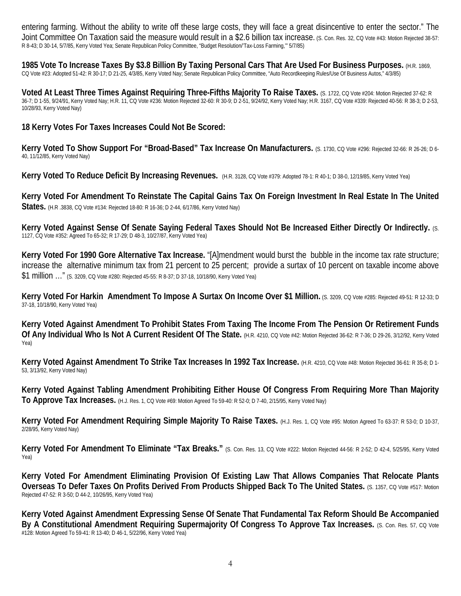entering farming. Without the ability to write off these large costs, they will face a great disincentive to enter the sector." The Joint Committee On Taxation said the measure would result in a \$2.6 billion tax increase. (S. Con. Res. 32, CQ Vote #43: Motion Rejected 38-57: R 8-43; D 30-14, 5/7/85, Kerry Voted Yea; Senate Republican Policy Committee, "Budget Resolution/'Tax-Loss Farming,'" 5/7/85)

**1985 Vote To Increase Taxes By \$3.8 Billion By Taxing Personal Cars That Are Used For Business Purposes.** (H.R. 1869, CQ Vote #23: Adopted 51-42: R 30-17; D 21-25, 4/3/85, Kerry Voted Nay; Senate Republican Policy Committee, "Auto Recordkeeping Rules/Use Of Business Autos," 4/3/85)

**Voted At Least Three Times Against Requiring Three-Fifths Majority To Raise Taxes.** (S. 1722, CQ Vote #204: Motion Rejected 37-62: R 36-7; D 1-55, 9/24/91, Kerry Voted Nay; H.R. 11, CQ Vote #236: Motion Rejected 32-60: R 30-9; D 2-51, 9/24/92, Kerry Voted Nay; H.R. 3167, CQ Vote #339: Rejected 40-56: R 38-3; D 2-53, 10/28/93, Kerry Voted Nay)

**18 Kerry Votes For Taxes Increases Could Not Be Scored:**

Kerry Voted To Show Support For "Broad-Based" Tax Increase On Manufacturers. (S. 1730, CQ Vote #296: Rejected 32-66: R 26-26; D 6-40, 11/12/85, Kerry Voted Nay)

**Kerry Voted To Reduce Deficit By Increasing Revenues.** (H.R. 3128, CQ Vote #379: Adopted 78-1: R 40-1; D 38-0, 12/19/85, Kerry Voted Yea)

**Kerry Voted For Amendment To Reinstate The Capital Gains Tax On Foreign Investment In Real Estate In The United States.** (H.R .3838, CQ Vote #134: Rejected 18-80: R 16-36; D 2-44, 6/17/86, Kerry Voted Nay)

**Kerry Voted Against Sense Of Senate Saying Federal Taxes Should Not Be Increased Either Directly Or Indirectly.** (S. 1127, CQ Vote #352: Agreed To 65-32; R 17-29; D 48-3, 10/27/87, Kerry Voted Yea)

**Kerry Voted For 1990 Gore Alternative Tax Increase.** "[A]mendment would burst the bubble in the income tax rate structure; increase the alternative minimum tax from 21 percent to 25 percent; provide a surtax of 10 percent on taxable income above \$1 million …" (S. 3209, CQ Vote #280: Rejected 45-55: R 8-37; D 37-18, 10/18/90, Kerry Voted Yea)

**Kerry Voted For Harkin Amendment To Impose A Surtax On Income Over \$1 Million.** (S. 3209, CQ Vote #285: Rejected 49-51: R 12-33; D 37-18, 10/18/90, Kerry Voted Yea)

**Kerry Voted Against Amendment To Prohibit States From Taxing The Income From The Pension Or Retirement Funds**  Of Any Individual Who Is Not A Current Resident Of The State. (H.R. 4210, CQ Vote #42: Motion Rejected 36-62: R 7-36; D 29-26, 3/12/92, Kerry Voted Yea)

Kerry Voted Against Amendment To Strike Tax Increases In 1992 Tax Increase. (H.R. 4210, CQ Vote #48: Motion Rejected 36-61: R 35-8; D 1-53, 3/13/92, Kerry Voted Nay)

**Kerry Voted Against Tabling Amendment Prohibiting Either House Of Congress From Requiring More Than Majority To Approve Tax Increases.** (H.J. Res. 1, CQ Vote #69: Motion Agreed To 59-40: R 52-0; D 7-40, 2/15/95, Kerry Voted Nay)

**Kerry Voted For Amendment Requiring Simple Majority To Raise Taxes.** (H.J. Res. 1, CQ Vote #95: Motion Agreed To 63-37: R 53-0; D 10-37, 2/28/95, Kerry Voted Nay)

**Kerry Voted For Amendment To Eliminate "Tax Breaks."** (S. Con. Res. 13, CQ Vote #222: Motion Rejected 44-56: R 2-52; D 42-4, 5/25/95, Kerry Voted Yea)

**Kerry Voted For Amendment Eliminating Provision Of Existing Law That Allows Companies That Relocate Plants Overseas To Defer Taxes On Profits Derived From Products Shipped Back To The United States.** (S. 1357, CQ Vote #517: Motion Rejected 47-52: R 3-50; D 44-2, 10/26/95, Kerry Voted Yea)

**Kerry Voted Against Amendment Expressing Sense Of Senate That Fundamental Tax Reform Should Be Accompanied By A Constitutional Amendment Requiring Supermajority Of Congress To Approve Tax Increases.** (S. Con. Res. 57, CQ Vote #128: Motion Agreed To 59-41: R 13-40; D 46-1, 5/22/96, Kerry Voted Yea)